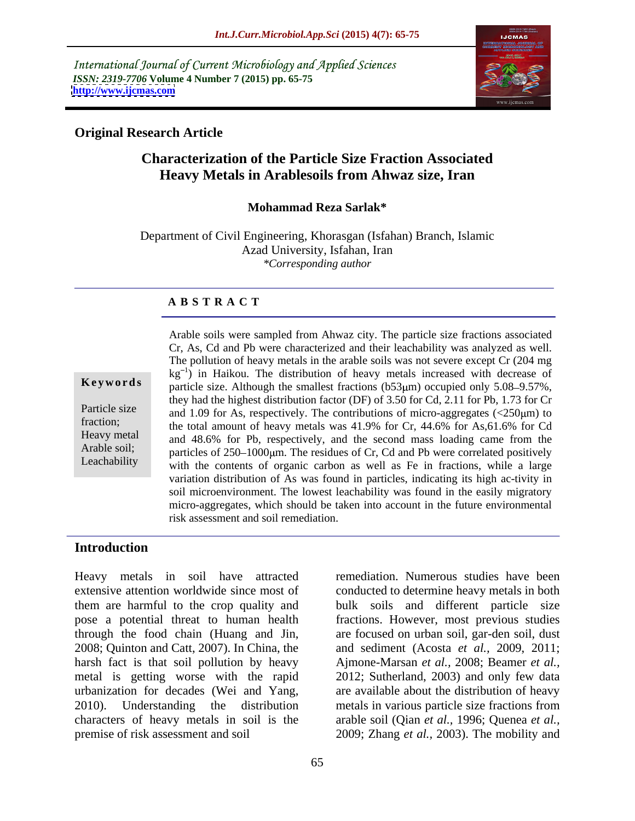International Journal of Current Microbiology and Applied Sciences *ISSN: 2319-7706* **Volume 4 Number 7 (2015) pp. 65-75 <http://www.ijcmas.com>**



## **Original Research Article**

# **Characterization of the Particle Size Fraction Associated Heavy Metals in Arablesoils from Ahwaz size, Iran**

### **Mohammad Reza Sarlak\***

Department of Civil Engineering, Khorasgan (Isfahan) Branch, Islamic Azad University, Isfahan, Iran *\*Corresponding author*

### **A B S T R A C T**

Leachability

Arable soils were sampled from Ahwaz city. The particle size fractions associated Cr, As, Cd and Pb were characterized and their leachability was analyzed as well. The pollution of heavy metals in the arable soils was not severe except Cr(204 mg  $kg^{-1}$ ) in Haikou. The distribution of heavy metals increased with decrease of **Keywords** particle size. Although the smallest fractions (b53µm) occupied only 5.08–9.57%, they had the highest distribution factor (DF) of 3.50 for Cd, 2.11 for Pb, 1.73 for Cr Particle size and 1.09 for As, respectively. The contributions of micro-aggregates  $\langle 250 \mu m \rangle$  to fraction;<br>the total amount of heavy metals was 41.9% for Cr, 44.6% for As,61.6% for Cd Heavy metal and 48.6% for Pb, respectively, and the second mass loading came from the Arable soil;<br>particles of 250–1000 um. The residues of Cr, Cd and Pb were correlated positively with the contents of organic carbon as well as Fe in fractions, while a large variation distribution of As was found in particles, indicating its high ac-tivity in soil microenvironment. The lowest leachability was found in the easily migratory micro-aggregates, which should be taken into account in the future environmental risk assessment and soil remediation.

# **Introduction**

Heavy metals in soil have attracted remediation. Numerous studies have been extensive attention worldwide since most of conducted to determine heavy metals in both them are harmful to the crop quality and bulk soils and different particle size pose a potential threat to human health fractions. However, most previous studies through the food chain (Huang and Jin, are focused on urban soil, gar-den soil, dust 2008; Quinton and Catt, 2007). In China, the harsh fact is that soil pollution by heavy Ajmone-Marsan *et al.,* 2008; Beamer *et al.,* metal is getting worse with the rapid urbanization for decades (Wei and Yang, are available about the distribution of heavy 2010). Understanding the distribution metals in various particle size fractions from characters of heavy metals in soil is the arable soil (Qian *et al.,* 1996; Quenea *et al.,* premise of risk assessment and soil 2009; Zhang *et al.,* 2003). The mobility and

and sediment (Acosta *et al.,* 2009, 2011; 2012; Sutherland, 2003) and only few data metals in various particle size fractions from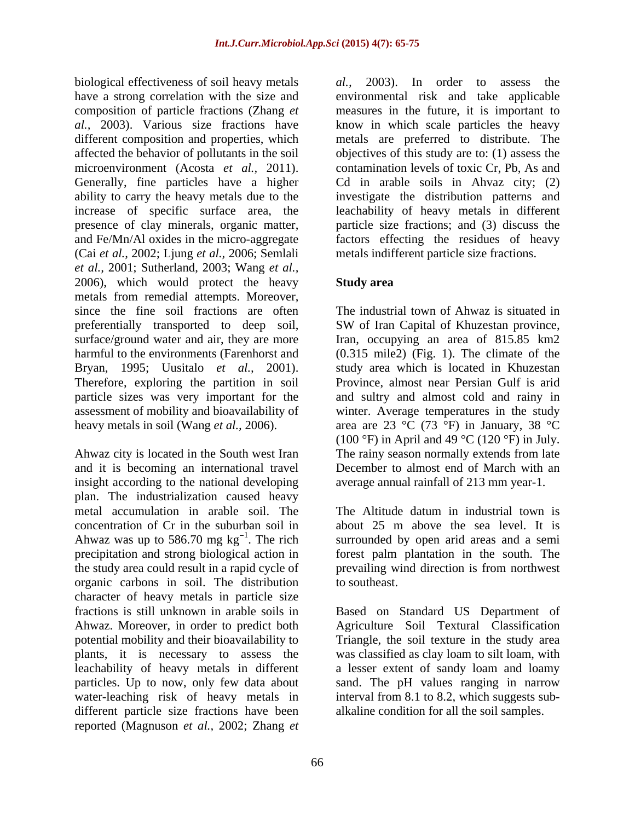biological effectiveness of soil heavy metals al., composition of particle fractions (Zhang *et al.,* 2003). Various size fractions have affected the behavior of pollutants in the soil Generally, fine particles have a higher (Cai *et al.,* 2002; Ljung *et al.,* 2006; Semlali *et al.,* 2001; Sutherland, 2003; Wang *et al.,* 2006), which would protect the heavy **Study area** metals from remedial attempts. Moreover, since the fine soil fractions are often preferentially transported to deep soil, SW of Iran Capital of Khuzestan province, surface/ground water and air, they are more Iran, occupying an area of 815.85 km2 harmful to the environments (Farenhorst and (0.315 mile2) (Fig. 1). The climate of the Bryan, 1995; Uusitalo *et al.,* 2001). Therefore, exploring the partition in soil Province, almost near Persian Gulf is arid particle sizes was very important for the and sultry and almost cold and rainy in assessment of mobility and bioavailability of heavy metals in soil (Wang *et al.,* 2006). area are 23 °C (73 °F) in January, 38 °C

Ahwaz city is located in the South west Iran The rainy season normally extends from late and it is becoming an international travel December to almost end of March with an insight according to the national developing plan. The industrialization caused heavy metal accumulation in arable soil. The The Altitude datum in industrial town is concentration of Cr in the suburban soil in Ahwaz was up to 586.70 mg  $kg^{-1}$ . The rich precipitation and strong biological action in forest palm plantation in the south. The the study area could result in a rapid cycle of organic carbons in soil. The distribution character of heavy metals in particle size fractions is still unknown in arable soils in Based on Standard US Department of Ahwaz. Moreover, in order to predict both Agriculture Soil Textural Classification potential mobility and their bioavailability to Triangle, the soil texture in the study area plants, it is necessary to assess the leachability of heavy metals in different leachability of heavy metals in different a lesser extent of sandy loam and loamy particles. Up to now, only few data about sand. The pH values ranging in narrow water-leaching risk of heavy metals in different particle size fractions have been reported (Magnuson *et al.,* 2002; Zhang *et* 

have a strong correlation with the size and environmental risk and take applicable different composition and properties, which metals are preferred to distribute. The microenvironment (Acosta *et al.,* 2011). contamination levels of toxic Cr, Pb, As and ability to carry the heavy metals due to the investigate the distribution patterns and increase of specific surface area, the leachability of heavy metals in different presence of clay minerals, organic matter, particle size fractions; and (3) discuss the and Fe/Mn/Al oxides in the micro-aggregate factors effecting the residues of heavy *al.,* 2003). In order to assess the measures in the future, it is important to know in which scale particles the heavy objectives of this study are to: (1) assess the Cd in arable soils in Ahvaz city; (2) metals indifferent particle size fractions.

# **Study area**

The industrial town of Ahwaz is situated in SW of Iran Capital of Khuzestan province, study area which is located in Khuzestan winter. Average temperatures in the study (100 °F) in April and 49 °C (120 °F) in July. The rainy season normally extends from late average annual rainfall of 213 mm year-1.

<sup>1</sup>. The rich surrounded by open arid areas and a semi about 25 m above the sea level. It is prevailing wind direction is from northwest to southeast.

was classified as clay loam to silt loam, with interval from 8.1 to 8.2, which suggests sub alkaline condition for all the soil samples.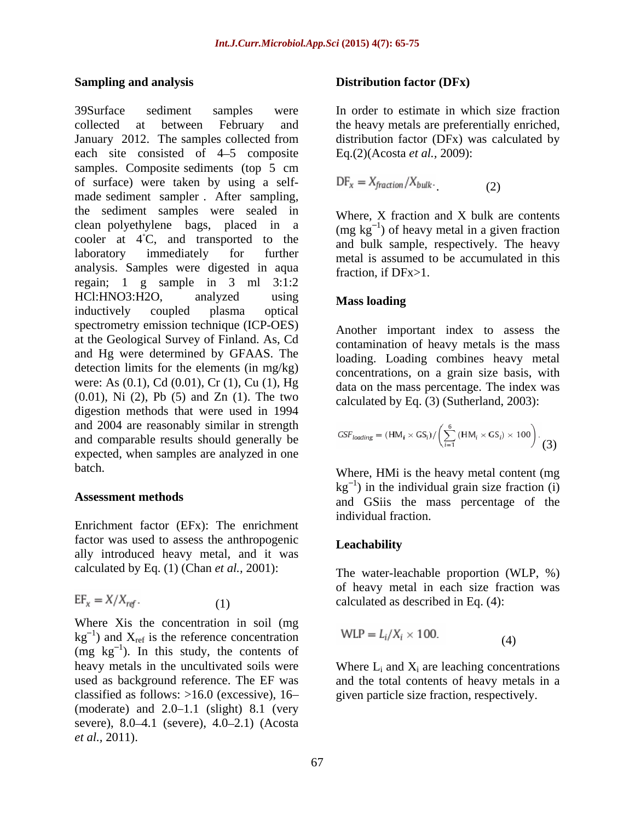collected at between February and the heavy metals are preferentially enriched, January 2012. The samples collected from distribution factor (DFx) was calculated by each site consisted of 4–5 composite samples. Composite sediments (top 5 cm of surface) were taken by using a self made sediment sampler . After sampling, the sediment samples were sealed in clean polyethylene bags, placed in a cooler at  $4^{\circ}C$ , and transported to the laboratory immediately for further metal is assumed to be accumulated in this analysis. Samples were digested in aqua regain; 1 g sample in 3 ml 3:1:2 HCl:HNO3:H2O, analyzed using Mass loading inductively coupled plasma optical spectrometry emission technique (ICP-OES) at the Geological Survey of Finland. As, Cd and Hg were determined by GFAAS. The detection limits for the elements (in mg/kg) were: As (0.1), Cd (0.01), Cr (1), Cu (1), Hg (0.01), Ni (2), Pb (5) and Zn (1). The two digestion methods that were used in 1994 and 2004 are reasonably similar in strength and comparable results should generally be expected, when samples are analyzed in one **Simulta and analysis** and **propagation** *For the Conduction final and the station final and the station final and*  $\sim$  *301). The samples of*  $4.5$  *consists and the station is a stationary 2012. The samples of the consist* 

Enrichment factor (EFx): The enrichment factor was used to assess the anthropogenic ally introduced heavy metal, and it was calculated by Eq. (1) (Chan *et al.,* 2001):

$$
EF_x = X/X_{\text{ref}}.
$$
 (1)

Where Xis the concentration in soil (mg kg<sup>-1</sup>) and  $X_{ref}$  is the reference concentration WLP =  $L_i/X_i \times 100$ . (4)  $(mg \text{ kg}^{-1})$ . In this study, the contents of (moderate) and  $2.0-1.1$  (slight) 8.1 (very severe),  $8.0 - 4.1$  (severe),  $4.0 - 2.1$ ) (Acosta

### **Sampling and analysis Distribution factor (DFx)**

39Surface sediment samples were In order to estimate in which size fraction Eq.(2)(Acosta *et al.,* 2009):

$$
DF_x = X_{fraction}/X_{bulk}.
$$
 (2)

Where, X fraction and X bulk are contents (mg  $kg^{-1}$ ) of heavy metal in a given fraction and bulk sample, respectively. The heavy fraction, if DFx>1.

## **Mass loading**

Another important index to assess the contamination of heavy metals is the mass loading. Loading combines heavy metal concentrations, on a grain size basis, with data on the mass percentage. The index was calculated by Eq. (3) (Sutherland, 2003):

$$
GSF_{loading} = (HM_i \times GS_i) / \left(\sum_{i=1}^{6} (HM_i \times GS_i) \times 100\right).
$$
 (3)

batch. Where, HMi is the heavy metal content (mg Assessment methods<br>
and GSiis the mass percentage of the  $kg^{-1}$ ) in the individual grain size fraction (i) individual fraction.

### **Leachability**

 (1) calculated as described in Eq. (4): The water-leachable proportion (WLP, %) of heavy metal in each size fraction was

$$
WLP = L_i/X_i \times 100.
$$
 (4)

heavy metals in the uncultivated soils were Where  $L_i$  and  $X_i$  are leaching concentrations used as background reference. The EF was and the total contents of heavy metals in a classified as follows: >16.0 (excessive), 16 given particle size fraction, respectively.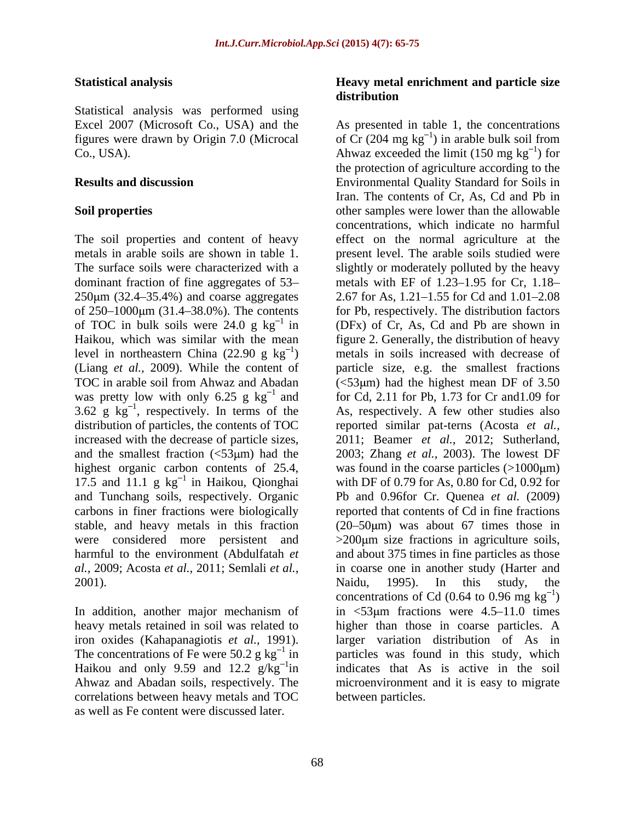Statistical analysis was performed using

The soil properties and content of heavy metals in arable soils are shown in table 1. dominant fraction of fine aggregates of 53  $250 \mu m$  (32.4–35.4%) and coarse aggregates level in northeastern China (22.90 g kg<sup>-1</sup>) was pretty low with only 6.25 g  $kg^{-1}$  and 3.62 g  $kg^{-1}$ , respectively. In terms of the distribution of particles, the contents of TOC highest organic carbon contents of 25.4, 17.5 and 11.1  $g \text{ kg}^{-1}$  in Haikou, Qionghai and Tunchang soils, respectively. Organic *al.,* 2009; Acosta *et al.,* 2011; Semlali *et al.,*

The concentrations of Fe were 50.2 g  $kg^{-1}$  in Haikou and only 9.59 and 12.2  $g/kg^{-1}$ in correlations between heavy metals and TOC as well as Fe content were discussed later.

## **Statistical analysis Heavy metal enrichment and particle size distribution**

Excel 2007 (Microsoft Co., USA) and the As presented in table 1, the concentrations figures were drawn by Origin 7.0 (Microcal of Cr  $(204 \text{ mg kg}^{-1})$  in arable bulk soil from Co., USA).  $\lambda$ hwaz exceeded the limit (150 mg kg<sup>-1</sup>) for **Results and discussion** Environmental Quality Standard for Soils in **Soil properties** other samples were lower than the allowable The surface soils were characterized with a slightly or moderately polluted by the heavy of 250–1000μm (31.4–38.0%). The contents for Pb, respectively. The distribution factors of TOC in bulk soils were 24.0 g  $kg^{-1}$  in (DFx) of Cr, As, Cd and Pb are shown in Haikou, which was similar with the mean figure 2. Generally, the distribution of heavy <sup>1</sup>) metals in soils increased with decrease of (Liang *et al.,* 2009). While the content of particle size, e.g. the smallest fractions TOC in arable soil from Ahwaz and Abadan  $\ll$ 53 $\mu$ m) had the highest mean DF of 3.50 <sup>1</sup> and for Cd, 2.11 for Pb, 1.73 for Cr and 1.09 for <sup>1</sup>, respectively. In terms of the As, respectively. A few other studies also distribution of particles, the contents of TOC reported similar pat-terns (Acosta *et al.*, increased with the decrease of particle sizes, 2011; Beamer *et al.,* 2012; Sutherland, and the smallest fraction (<53 $\mu$ m) had the 2003; Zhang *et al.*, 2003). The lowest DF <sup>1</sup> in Haikou, Qionghai with DF of 0.79 for As, 0.80 for Cd, 0.92 for and Tunchang soils, respectively. Organic Pb and 0.96for Cr. Quenea *et al.* (2009) carbons in finer fractions were biologically reported that contents of Cd in fine fractions stable, and heavy metals in this fraction  $(20-50 \mu m)$  was about 67 times those in were considered more persistent and  $>200 \mu m$  size fractions in agriculture soils, harmful to the environment (Abdulfatah *et*  and about 375 times in fine particles as those 2001). Naidu, 1995). In this study, the In addition, another major mechanism of in <53 km fractions were 4.5–11.0 times heavy metals retained in soil was related to higher than those in coarse particles.A iron oxides (Kahapanagiotis *et al.,* 1991). larger variation distribution of As in in particles was found in this study, which <sup>1</sup>in indicates that As is active in the soil Ahwaz and Abadan soils, respectively. The microenvironment and it is easy to migrate  $\frac{1}{\pi}$  for ) for the protection of agriculture according to the Iran. The contents of Cr, As, Cd and Pb in concentrations, which indicate no harmful effect on the normal agriculture at the present level. The arable soils studied were metals with EF of  $1.23 - 1.95$  for Cr,  $1.18 -$ 2.67 for As, 1.21–1.55 for Cd and 1.01–2.08 was found in the coarse particles  $(>1000 \mu m)$ in coarse one in another study (Harter and Naidu, 1995). In this study, the concentrations of Cd  $(0.64 \text{ to } 0.96 \text{ mg kg}^{-1})$  $1<sub>\lambda</sub>$  $)$ between particles.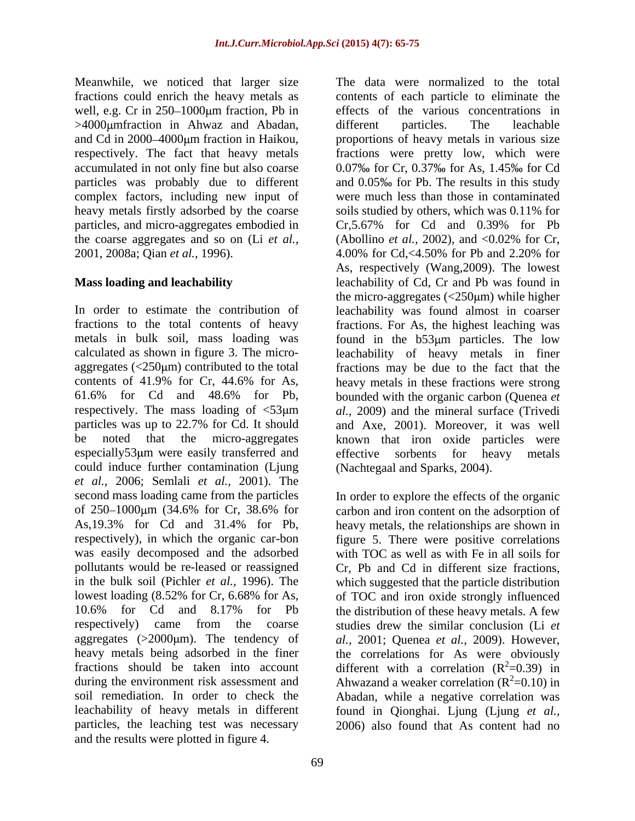well, e.g. Cr in  $250 - 1000 \mu m$  fraction, Pb in >4000 umfraction in Ahwaz and Abadan, different particles. The leachable complex factors, including new input of heavy metals firstly adsorbed by the coarse the coarse aggregates and so on (Li *et al.,* (Abollino *et al.,* 2002), and <0.02% for Cr, 2001, 2008a; Qian *et al.,* 1996).

especially53 µm were easily transferred and effective sorbents for heavy metals could induce further contamination (Ljung *et al.,* 2006; Semlali *et al.,* 2001). The second mass loading came from the particles In order to explore the effects of the organic of 250–1000μm (34.6% for Cr, 38.6% for carbon and iron content on the adsorption of As,19.3% for Cd and 31.4% for Pb, heavy metals, the relationships are shown in respectively), in which the organic car-bon figure 5. There were positive correlations was easily decomposed and the adsorbed pollutants would be re-leased or reassigned Cr, Pb and Cd in different size fractions, in the bulk soil (Pichler *et al.*, 1996). The lowest loading (8.52% for Cr, 6.68% for As, of TOC and iron oxide strongly influenced 10.6% for Cd and 8.17% for Pb the distribution of these heavy metals. A few respectively) came from the coarse studies drew the similar conclusion (Li *et*  aggregates (>2000µm). The tendency of al., 2001; Quenea *et al.*, 2009). However, heavy metals being adsorbed in the finer the correlations for As were obviously fractions should be taken into account different with a correlation  $(R^2=0.39)$  in during the environment risk assessment and  $\mu$  Ahwazand a weaker correlation ( $R^2$ =0.10) in soil remediation. In order to check the Abadan, while a negative correlation was leachability of heavy metals in different found in Qionghai. Ljung (Ljung *et al.,* particles, the leaching test was necessary 2006) also found that As content had noand the results were plotted in figure 4.

Meanwhile, we noticed that larger size The data were normalized to the total fractions could enrich the heavy metals as contents of each particle to eliminate the and Cd in 2000–4000µm fraction in Haikou, proportions of heavy metals in various size respectively. The fact that heavy metals fractions were pretty low, which were accumulated in not only fine but also coarse  $0.07\%$  for Cr, 0.37% for As, 1.45% for Cd particles was probably due to different and 0.05% for Pb. The results in this study particles, and micro-aggregates embodied in Cr,5.67% for Cd and 0.39% for Pb **Mass loading and leachability** leachability of Cd, Cr and Pb was found in In order to estimate the contribution of leachability was found almost in coarser fractions to the total contents of heavy fractions. For As, the highest leaching was metals in bulk soil, mass loading was found in the b53µm particles. The low calculated as shown in figure 3. The micro- leachability of heavy metals in finer aggregates  $\langle 250 \mu m \rangle$  contributed to the total fractions may be due to the fact that the contents of 41.9% for Cr, 44.6% for As, heavy metals in these fractions were strong 61.6% for Cd and 48.6% for Pb, bounded with the organic carbon (Quenea *et*  respectively. The mass loading of  $\langle 53 \mu m \rangle$  al., 2009) and the mineral surface (Trivedi particles was up to 22.7% for Cd. It should and Axe, 2001). Moreover, it was well be noted that the micro-aggregates known that iron oxide particles were effects of the various concentrations in different particles. The leachable were much less than those in contaminated soils studied by others, which was 0.11% for (Abollino *et al.,* 2002), and <0.02% for Cr, 4.00% for Cd,<4.50% for Pb and 2.20% for As, respectively (Wang,2009). The lowest the micro-aggregates  $\langle$  <250 $\mu$ m) while higher effective sorbents for heavy metals (Nachtegaal and Sparks, 2004).

> with TOC as well as with Fe in all soils for which suggested that the particle distribution  $2^2$ =0.39) in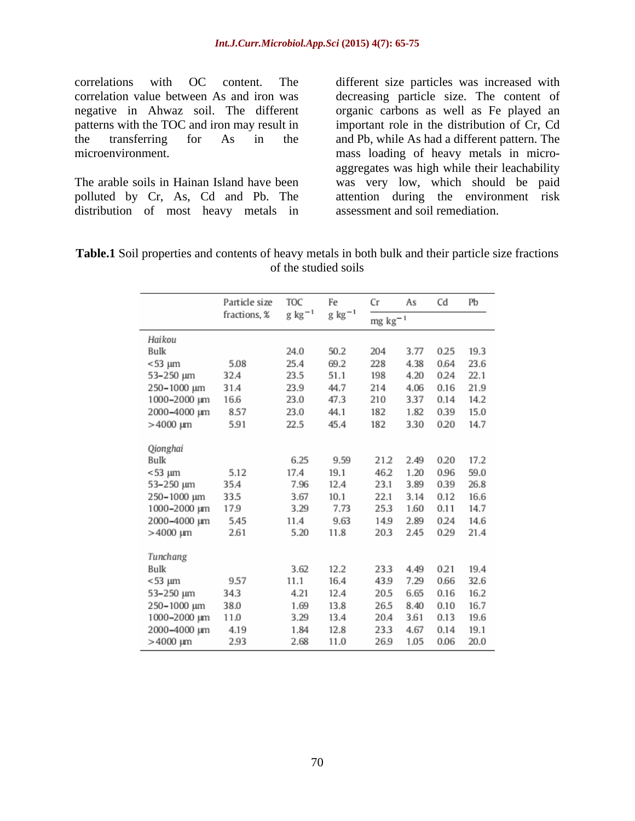correlations with OC content. The different size particles was increased with correlation value between As and iron was decreasing particle size. The content of negative in Ahwaz soil. The different organic carbons as well as Fe played an patterns with the TOC and iron may result in important role in the distribution of Cr, Cd the transferring for As in the and Pb, while As had a different pattern. The

polluted by Cr, As, Cd and Pb. The distribution of most heavy metals in

microenvironment. mass loading of heavy metals in micro- The arable soils in Hainan Island have been was very low, which should be paid aggregates was high while their leachability attention during the environment risk assessment and soil remediation.

| m<br>rable -<br>. propert<br>and<br>size fractions<br>mtents c<br>m<br>metals in both bulk<br>l their particle<br>heavy<br>$\Lambda$<br>ww<br>,,, |  |
|---------------------------------------------------------------------------------------------------------------------------------------------------|--|
| of the stud.<br>ied soils                                                                                                                         |  |

| Particle size | TOC          | Fe          | Cr            | As   | Cd   | Рb   |
|---------------|--------------|-------------|---------------|------|------|------|
|               |              |             | $mg\ kg^{-1}$ |      |      |      |
|               |              |             |               |      |      |      |
|               | 24.0         | 50.2        | 204           | 3.77 | 0.25 | 19.3 |
| 5.08          | 25.4         | 69.2        | 228           | 4.38 | 0.64 | 23.6 |
| 32.4          | 23.5         | 51.1        | 198           | 4.20 | 0.24 | 22.1 |
| 31.4          | 23.9         | 44.7        | 214           | 4.06 | 0.16 | 21.9 |
| 16.6          | 23.0         | 47.3        | 210           | 3.37 | 0.14 | 14.2 |
| 8.57          | 23.0         | 44.1        | 182           | 1.82 | 0.39 | 15.0 |
| 5.91          | 22.5         | 45.4        | 182           | 3.30 | 0.20 | 14.7 |
|               |              |             |               |      |      |      |
|               |              |             |               |      |      |      |
|               | 6.25         | 9.59        | 21.2          | 2.49 | 0.20 | 17.2 |
| 5.12          | 17.4         | 19.1        | 46.2          | 1.20 | 0.96 | 59.0 |
| 35.4          | 7.96         | 12.4        | 23.1          | 3.89 | 0.39 | 26.8 |
| 33.5          | 3.67         | 10.1        | 22.1          | 3.14 | 0.12 | 16.6 |
| 17.9          | 3.29         | 7.73        | 25.3          | 1.60 | 0.11 | 14.7 |
| 5.45          | 11.4         | 9.63        | 14.9          | 2.89 | 0.24 | 14.6 |
| 2.61          | 5.20         | 11.8        | 20.3          | 2.45 | 0.29 | 21.4 |
|               |              |             |               |      |      |      |
|               |              |             |               |      |      |      |
|               | 3.62         | 12.2        | 23.3          | 4.49 | 0.21 | 19.4 |
| 9.57          | 11.1         | 16.4        | 43.9          | 7.29 | 0.66 | 32.6 |
| 34.3          | 4.21         | 12.4        | 20.5          | 6.65 | 0.16 | 16.2 |
| 38.0          | 1.69         | 13.8        | 26.5          | 8.40 | 0.10 | 16.7 |
| 11.0          | 3.29         | 13.4        | 20.4          | 3.61 | 0.13 | 19.6 |
| 4.19          | 1.84         | 12.8        | 23.3          | 4.67 | 0.14 | 19.1 |
| 2.93          | 2.68         | 11.0        | 26.9          | 1.05 | 0.06 | 20.0 |
|               | fractions, % | $g kg^{-1}$ | $g kg^{-1}$   |      |      |      |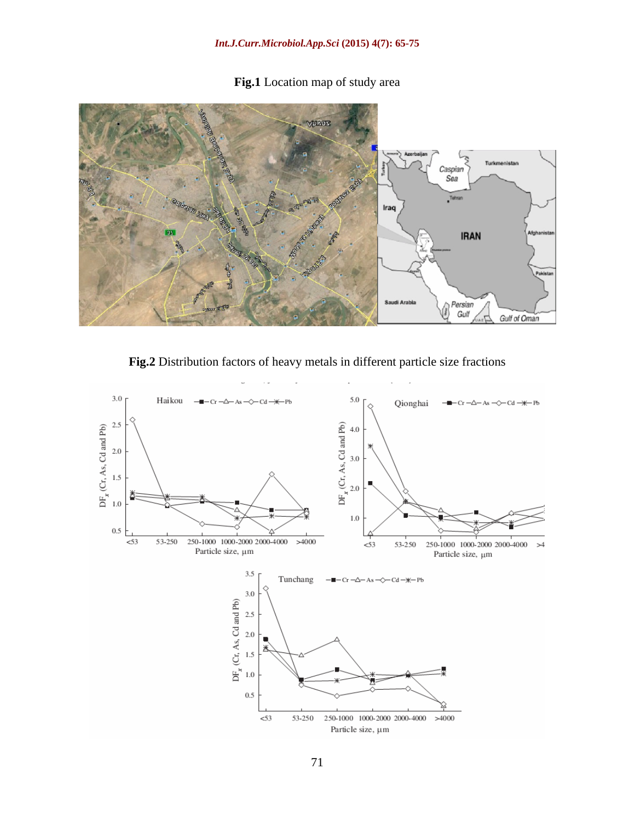# **Fig.1** Location map of study area



**Fig.2** Distribution factors of heavy metals in different particle size fractions

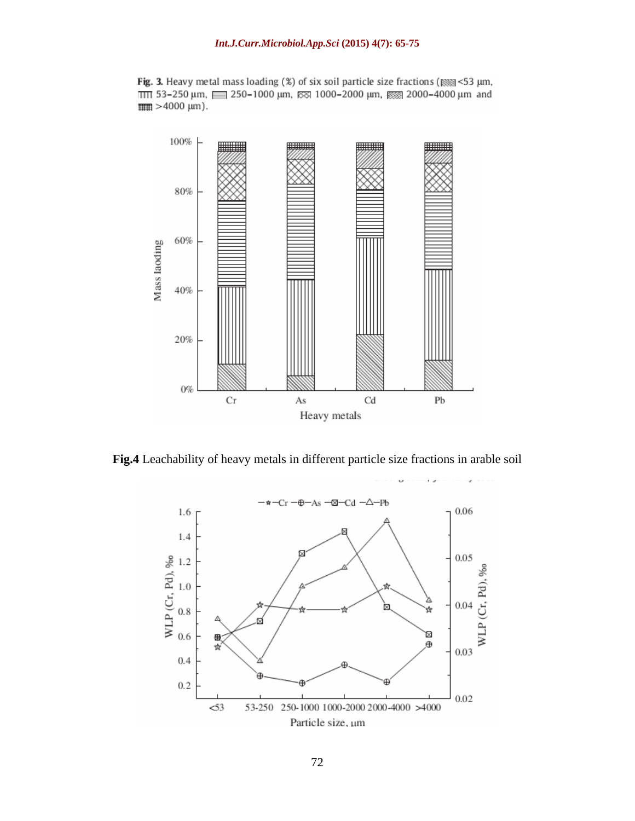Fig. 3. Heavy metal mass loading (%) of six soil particle size fractions ( $\frac{1}{2}$  <53 µm, ITIT 53-250 μm, 250-1000 μm, 88 1000-2000 μm, 88 2000-4000 μm and  $\frac{1}{2}$  = 4000 µm).



**Fig.4** Leachability of heavy metals in different particle size fractions in arable soil

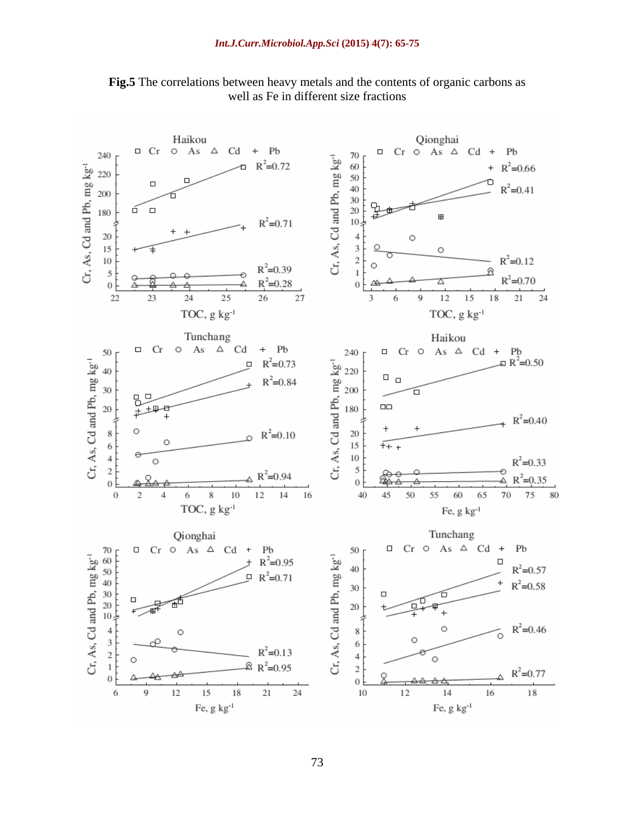

**Fig.5** The correlations between heavy metals and the contents of organic carbons as well as Fe in different size fractions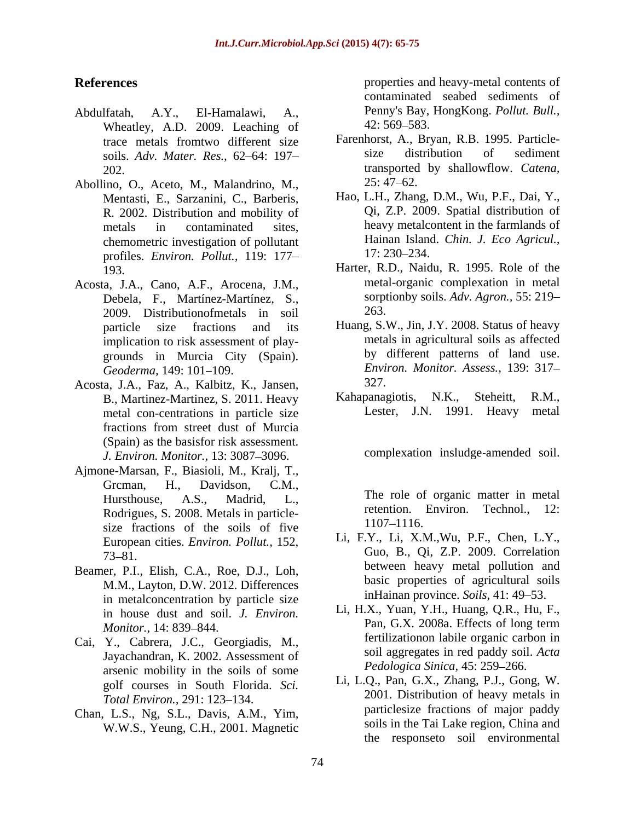- Abdulfatah, A.Y., El-Hamalawi, A., Penny's Bay, HongKong. *Pollut. Bull.,* Wheatley, A.D. 2009. Leaching of soils. *Adv. Mater. Res.,* 62 64: 197
- Abollino, O., Aceto, M., Malandrino, M., Mentasti, E., Sarzanini, C., Barberis, R. 2002. Distribution and mobility of chemometric investigation of pollutant and Hainan Island<br>
profiles Environ Pollut 119: 177 profiles. *Environ. Pollut.,* 119: 177
- Acosta, J.A., Cano, A.F., Arocena, J.M., Debela, F., Martínez-Martínez, S., 2009. Distributionofmetals in soil implication to risk assessment of play grounds in Murcia City (Spain).
- Acosta, J.A., Faz, A., Kalbitz, K., Jansen, 327.<br>B. Martinez-Martinez, S. 2011 Heavy Kahapanagiotis, N.K., Steheitt, R.M., metal con-centrations in particle size fractions from street dust of Murcia (Spain) as the basisfor risk assessment. *J. Environ. Monitor.,* 13: 3087-3096.
- Ajmone-Marsan, F., Biasioli, M., Kralj, T., Grcman, H., Davidson, C.M., Rodrigues, S. 2008. Metals in particle-<br>retention. Environ. Technol., 12:<br> $\frac{1107-1116}{1107-1116}$ . size fractions of the soils of five European cities. *Environ. Pollut.,* 152,
- Beamer, P.I., Elish, C.A., Roe, D.J., Loh, M.M., Layton, D.W. 2012. Differences in metalconcentration by particle size
- Cai, Y., Cabrera, J.C., Georgiadis, M., Jayachandran, K. 2002. Assessment of arsenic mobility in the soils of some golf courses in South Florida. *Sci. Total Environ., 291: 123-134.*
- Chan, L.S., Ng, S.L., Davis, A.M., Yim, W.W.S., Yeung, C.H., 2001. Magnetic

**References** properties and heavy-metal contents of contaminated seabed sediments of  $42:569 - 583.$ 

- trace metals fromtwo different size Farenhorst, A., Bryan, R.B. 1995. Particle-<br>soils Adv Mater Res. 62–64: 197– size distribution of sediment 202. transported by shallowflow. *Catena,*  Farenhorst, A., Bryan, R.B. 1995. Particle size distribution of sediment  $25:47 - 62.$
- metals in contaminated sites, heavy metalcontent in the farmlands of Hao, L.H., Zhang, D.M., Wu, P.F., Dai, Y., Qi, Z.P. 2009. Spatial distribution of Hainan Island. *Chin. J. Eco Agricul.,* 17: 230–234.
- 193. Harter, R.D., Naidu, R. 1995. Role of the metal-organic complexation in metal sorptionby soils. *Adv. Agron.,* 55: 219 263.
- particle size fractions and its Huang, S.W., Jin, J.Y. 2008. Status of heavy *Geoderma,* 149: 101 109. *Environ. Monitor. Assess.,* 139: 317 metals in agricultural soils as affected by different patterns of land use. 327.
- B., Martinez-Martinez, S. 2011. Heavy Kahapanagiotis, N.K., Steheitt, R.M., metal con-centrations in particle size Lester, J.N. 1991. Heavy metal Kahapanagiotis, N.K., Steheitt, R.M., Lester, J.N. 1991. Heavy

complexation insludge amended soil.

Hursthouse, A.S., Madrid, L., The role of organic matter in metal retention. Environ. Technol., 1107 1116.

- 73 81. Guo, B., Qi, Z.P. 2009. Correlation Li, F.Y., Li, X.M.,Wu, P.F., Chen, L.Y., between heavy metal pollution and basic properties of agricultural soils inHainan province. *Soils*, 41: 49-53.
- in house dust and soil. *J. Environ.* L1, H.X., Yuan, Y.H., Huang, Q.K., Hu, F., Monitor, 14, 830, 844 *Monitor.*, 14: 839–844. **Participal Property** Pan, G.A. 2008a. Effects of long term Li, H.X., Yuan, Y.H., Huang, Q.R., Hu, F., Pan, G.X. 2008a. Effects of long term fertilizationon labile organic carbon in soil aggregates in red paddy soil. *Acta Pedologica Sinica, 45: 259-266.* 
	- Li, L.Q., Pan, G.X., Zhang, P.J., Gong, W. 2001. Distribution of heavy metals in particlesize fractions of major paddy soils in the Tai Lake region, China and the responseto soil environmental